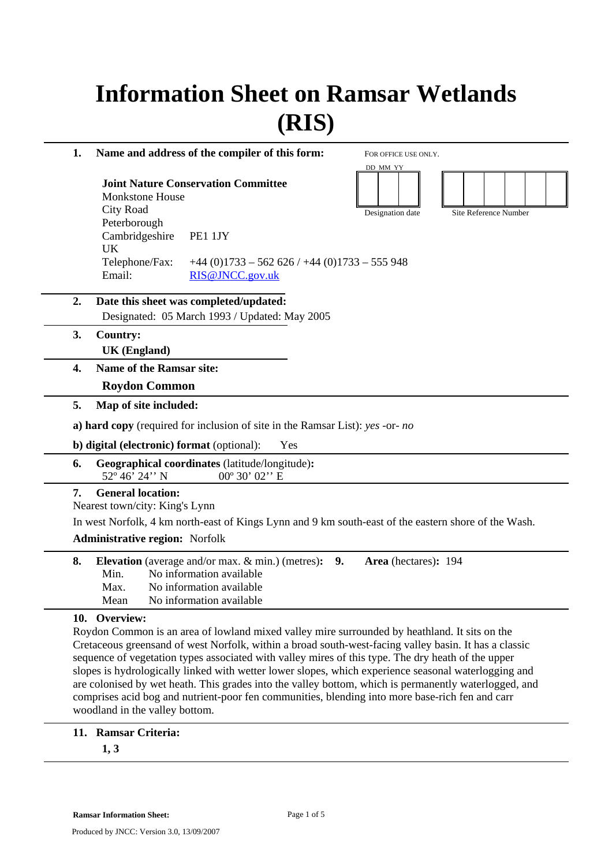# **Information Sheet on Ramsar Wetlands (RIS)**

FOR OFFICE USE ONLY.

DD MM YY

**1. Name and address of the compiler of this form:** 

**Joint Nature Conservation Committee**  Monkstone House City Road Peterborough Cambridgeshire PE1 1JY UK Telephone/Fax:  $+44 (0)1733 - 562 626 / +44 (0)1733 - 555 948$ Email: RIS@JNCC.gov.uk Designation date Site Reference Number

- **2. Date this sheet was completed/updated:**  Designated: 05 March 1993 / Updated: May 2005
- **3. Country: UK (England)**
- **4. Name of the Ramsar site:** 
	- **Roydon Common**
- **5. Map of site included:**

**a) hard copy** (required for inclusion of site in the Ramsar List): *yes* -or- *no*

**b) digital (electronic) format** (optional): Yes

**6. Geographical coordinates** (latitude/longitude)**:**  52° 46' 24'' N 00° 30' 02'' E

#### **7. General location:**

Nearest town/city: King's Lynn

In west Norfolk, 4 km north-east of Kings Lynn and 9 km south-east of the eastern shore of the Wash.

#### **Administrative region:** Norfolk

|      | <b>8.</b> Elevation (average and/or max. & min.) (metres): 9. Area (hectares): 194 |  |  |
|------|------------------------------------------------------------------------------------|--|--|
|      | Min. No information available                                                      |  |  |
| Max. | No information available                                                           |  |  |
| Mean | No information available                                                           |  |  |

#### **10. Overview:**

Roydon Common is an area of lowland mixed valley mire surrounded by heathland. It sits on the Cretaceous greensand of west Norfolk, within a broad south-west-facing valley basin. It has a classic sequence of vegetation types associated with valley mires of this type. The dry heath of the upper slopes is hydrologically linked with wetter lower slopes, which experience seasonal waterlogging and are colonised by wet heath. This grades into the valley bottom, which is permanently waterlogged, and comprises acid bog and nutrient-poor fen communities, blending into more base-rich fen and carr woodland in the valley bottom.

#### **11. Ramsar Criteria:**

**1, 3**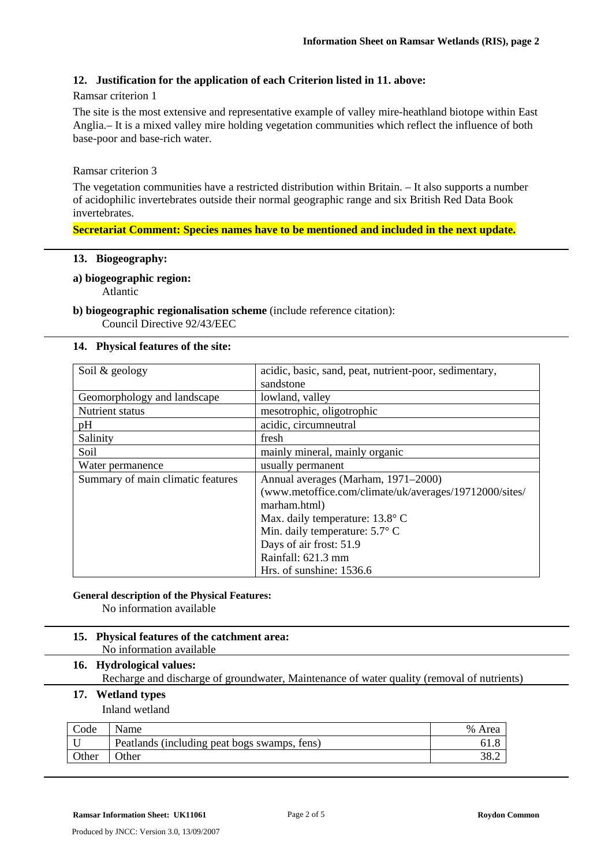#### **12. Justification for the application of each Criterion listed in 11. above:**

#### Ramsar criterion 1

The site is the most extensive and representative example of valley mire-heathland biotope within East Anglia.– It is a mixed valley mire holding vegetation communities which reflect the influence of both base-poor and base-rich water.

#### Ramsar criterion 3

The vegetation communities have a restricted distribution within Britain. – It also supports a number of acidophilic invertebrates outside their normal geographic range and six British Red Data Book invertebrates.

#### **Secretariat Comment: Species names have to be mentioned and included in the next update.**

#### **13. Biogeography:**

#### **a) biogeographic region:**

Atlantic

# **b) biogeographic regionalisation scheme** (include reference citation):

Council Directive 92/43/EEC

#### **14. Physical features of the site:**

| Soil & geology                    | acidic, basic, sand, peat, nutrient-poor, sedimentary, |  |
|-----------------------------------|--------------------------------------------------------|--|
|                                   | sandstone                                              |  |
| Geomorphology and landscape       | lowland, valley                                        |  |
| Nutrient status                   | mesotrophic, oligotrophic                              |  |
| pH                                | acidic, circumneutral                                  |  |
| Salinity                          | fresh                                                  |  |
| Soil                              | mainly mineral, mainly organic                         |  |
| Water permanence                  | usually permanent                                      |  |
| Summary of main climatic features | Annual averages (Marham, 1971–2000)                    |  |
|                                   | (www.metoffice.com/climate/uk/averages/19712000/sites/ |  |
|                                   | marham.html)                                           |  |
|                                   | Max. daily temperature: 13.8° C                        |  |
|                                   | Min. daily temperature: $5.7^{\circ}$ C                |  |
|                                   | Days of air frost: 51.9                                |  |
|                                   | Rainfall: 621.3 mm                                     |  |
|                                   | Hrs. of sunshine: 1536.6                               |  |

## **General description of the Physical Features:**

No information available

#### **15. Physical features of the catchment area:**  No information available

### **16. Hydrological values:**

Recharge and discharge of groundwater, Maintenance of water quality (removal of nutrients)

#### **17. Wetland types**

Inland wetland

| Code  | Name                                         | % Area |
|-------|----------------------------------------------|--------|
|       | Peatlands (including peat bogs swamps, fens) |        |
| Other | Other                                        | 20.∠   |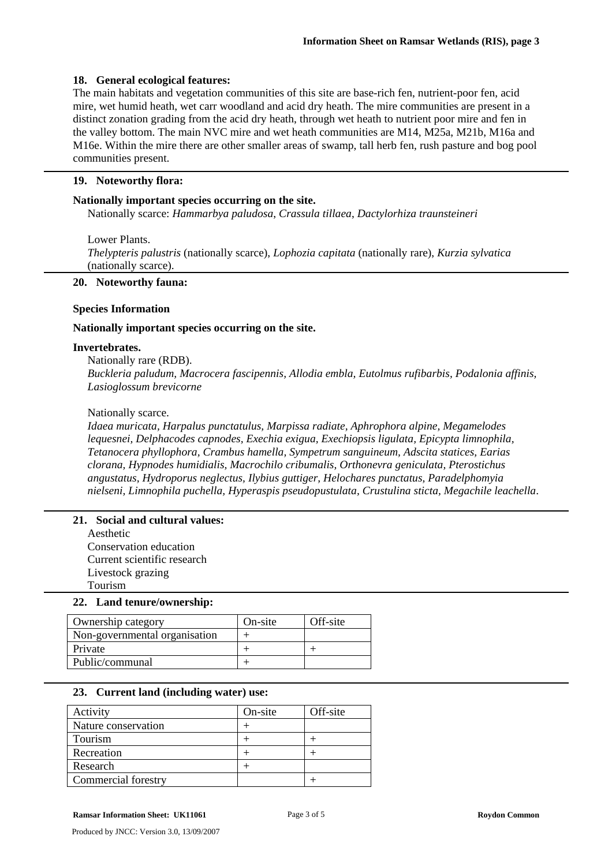#### **18. General ecological features:**

The main habitats and vegetation communities of this site are base-rich fen, nutrient-poor fen, acid mire, wet humid heath, wet carr woodland and acid dry heath. The mire communities are present in a distinct zonation grading from the acid dry heath, through wet heath to nutrient poor mire and fen in the valley bottom. The main NVC mire and wet heath communities are M14, M25a, M21b, M16a and M16e. Within the mire there are other smaller areas of swamp, tall herb fen, rush pasture and bog pool communities present.

#### **19. Noteworthy flora:**

#### **Nationally important species occurring on the site.**

Nationally scarce: *Hammarbya paludosa*, *Crassula tillaea*, *Dactylorhiza traunsteineri*

Lower Plants. *Thelypteris palustris* (nationally scarce), *Lophozia capitata* (nationally rare), *Kurzia sylvatica* (nationally scarce).

#### **20. Noteworthy fauna:**

#### **Species Information**

#### **Nationally important species occurring on the site.**

#### **Invertebrates.**

Nationally rare (RDB).

*Buckleria paludum, Macrocera fascipennis, Allodia embla, Eutolmus rufibarbis, Podalonia affinis, Lasioglossum brevicorne*

#### Nationally scarce.

*Idaea muricata, Harpalus punctatulus, Marpissa radiate, Aphrophora alpine, Megamelodes lequesnei, Delphacodes capnodes, Exechia exigua, Exechiopsis ligulata, Epicypta limnophila, Tetanocera phyllophora, Crambus hamella, Sympetrum sanguineum, Adscita statices, Earias clorana, Hypnodes humidialis, Macrochilo cribumalis, Orthonevra geniculata, Pterostichus angustatus, Hydroporus neglectus, Ilybius guttiger, Helochares punctatus, Paradelphomyia nielseni, Limnophila puchella, Hyperaspis pseudopustulata, Crustulina sticta, Megachile leachella*.

#### **21. Social and cultural values:**

Aesthetic Conservation education Current scientific research Livestock grazing Tourism

#### **22. Land tenure/ownership:**

| Ownership category            | On-site | Off-site |
|-------------------------------|---------|----------|
| Non-governmental organisation |         |          |
| Private                       |         |          |
| Public/communal               |         |          |
|                               |         |          |

#### **23. Current land (including water) use:**

| Activity            | On-site | Off-site |
|---------------------|---------|----------|
| Nature conservation |         |          |
| Tourism             |         |          |
| Recreation          |         |          |
| Research            |         |          |
| Commercial forestry |         |          |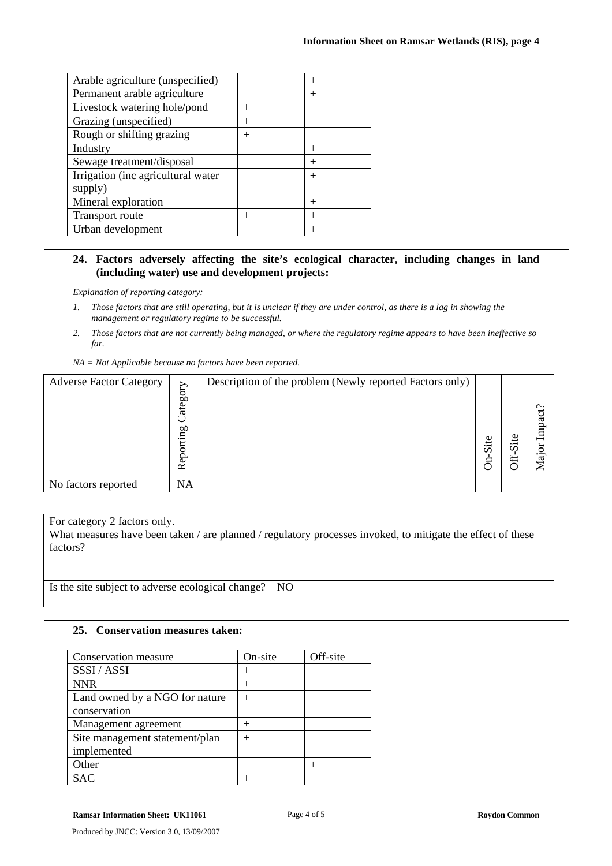| Arable agriculture (unspecified)   |        | $^{+}$ |
|------------------------------------|--------|--------|
| Permanent arable agriculture       |        | $^{+}$ |
| Livestock watering hole/pond       | $^{+}$ |        |
| Grazing (unspecified)              | $^{+}$ |        |
| Rough or shifting grazing          | $^{+}$ |        |
| Industry                           |        | $^{+}$ |
| Sewage treatment/disposal          |        | $^{+}$ |
| Irrigation (inc agricultural water |        | $^{+}$ |
| supply)                            |        |        |
| Mineral exploration                |        | $^{+}$ |
| <b>Transport route</b>             | $^{+}$ | $^{+}$ |
| Urban development                  |        | $^{+}$ |
|                                    |        |        |

#### **24. Factors adversely affecting the site's ecological character, including changes in land (including water) use and development projects:**

*Explanation of reporting category:* 

- *1. Those factors that are still operating, but it is unclear if they are under control, as there is a lag in showing the management or regulatory regime to be successful.*
- *2. Those factors that are not currently being managed, or where the regulatory regime appears to have been ineffective so far.*
- *NA = Not Applicable because no factors have been reported.*

| <b>Adverse Factor Category</b> | Category<br>Reporting | Description of the problem (Newly reported Factors only) | Site<br>д | $\cdot$ $-$<br>$\sigma$<br>₩ | Ċ<br>R<br>Lmı<br><u>ੁੰ</u> ਕ<br>↽ |
|--------------------------------|-----------------------|----------------------------------------------------------|-----------|------------------------------|-----------------------------------|
| No factors reported            | <b>NA</b>             |                                                          |           |                              |                                   |

For category 2 factors only.

What measures have been taken / are planned / regulatory processes invoked, to mitigate the effect of these factors?

Is the site subject to adverse ecological change? NO

#### **25. Conservation measures taken:**

| Conservation measure           | On-site | Off-site |
|--------------------------------|---------|----------|
| SSSI / ASSI                    | $^+$    |          |
| <b>NNR</b>                     | $^+$    |          |
| Land owned by a NGO for nature | $^{+}$  |          |
| conservation                   |         |          |
| Management agreement           | $^+$    |          |
| Site management statement/plan | $^{+}$  |          |
| implemented                    |         |          |
| Other                          |         |          |
| SAC                            |         |          |